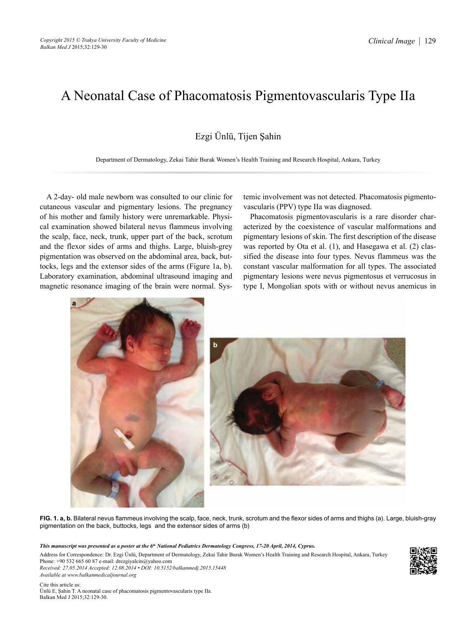## A Neonatal Case of Phacomatosis Pigmentovascularis Type IIa

Ezgi Ünlü, Tijen Şahin

Department of Dermatology, Zekai Tahir Burak Women's Health Training and Research Hospital, Ankara, Turkey

A 2-day- old male newborn was consulted to our clinic for cutaneous vascular and pigmentary lesions. The pregnancy of his mother and family history were unremarkable. Physical examination showed bilateral nevus flammeus involving the scalp, face, neck, trunk, upper part of the back, scrotum and the flexor sides of arms and thighs. Large, bluish-grey pigmentation was observed on the abdominal area, back, buttocks, legs and the extensor sides of the arms (Figure 1a, b). Laboratory examination, abdominal ultrasound imaging and magnetic resonance imaging of the brain were normal. Systemic involvement was not detected. Phacomatosis pigmentovascularis (PPV) type IIa was diagnosed.

Phacomatosis pigmentovascularis is a rare disorder characterized by the coexistence of vascular malformations and pigmentary lesions of skin. The first description of the disease was reported by Ota et al. (1), and Hasegawa et al. (2) classified the disease into four types. Nevus flammeus was the constant vascular malformation for all types. The associated pigmentary lesions were nevus pigmentosus et verrucosus in type I, Mongolian spots with or without nevus anemicus in



**FIG. 1. a, b.** Bilateral nevus flammeus involving the scalp, face, neck, trunk, scrotum and the flexor sides of arms and thighs (a). Large, bluish-gray pigmentation on the back, buttocks, legs and the extensor sides of arms (b)

*This manuscript was presented as a poster at the 6th National Pediatrics Dermatology Congress, 17-20 April, 2014, Cyprus.*

Address for Correspondence: Dr. Ezgi Ünlü, Department of Dermatology, Zekai Tahir Burak Women's Health Training and Research Hospital, Ankara, Turkey Phone: +90 532 665 60 87 e-mail: drezgiyalcin@yahoo.com *Received: 27.05.2014 Accepted: 12.08.2014 • DOI: 10.5152/balkanmedj.2015.15448*

*Available at www.balkanmedicaljournal.org* Cite this article as: